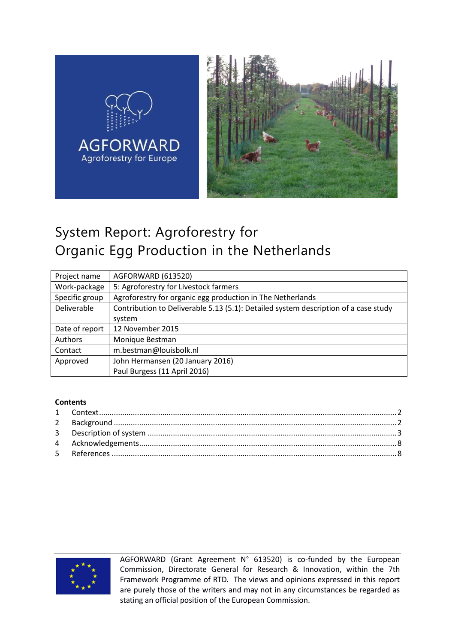

# System Report: Agroforestry for Organic Egg Production in the Netherlands

| Project name   | AGFORWARD (613520)                                                                  |
|----------------|-------------------------------------------------------------------------------------|
| Work-package   | 5: Agroforestry for Livestock farmers                                               |
| Specific group | Agroforestry for organic egg production in The Netherlands                          |
| Deliverable    | Contribution to Deliverable 5.13 (5.1): Detailed system description of a case study |
|                | system                                                                              |
| Date of report | 12 November 2015                                                                    |
| Authors        | Monique Bestman                                                                     |
| Contact        | m.bestman@louisbolk.nl                                                              |
| Approved       | John Hermansen (20 January 2016)                                                    |
|                | Paul Burgess (11 April 2016)                                                        |

#### **Contents**



AGFORWARD (Grant Agreement N° 613520) is co-funded by the European Commission, Directorate General for Research & Innovation, within the 7th Framework Programme of RTD. The views and opinions expressed in this report are purely those of the writers and may not in any circumstances be regarded as stating an official position of the European Commission.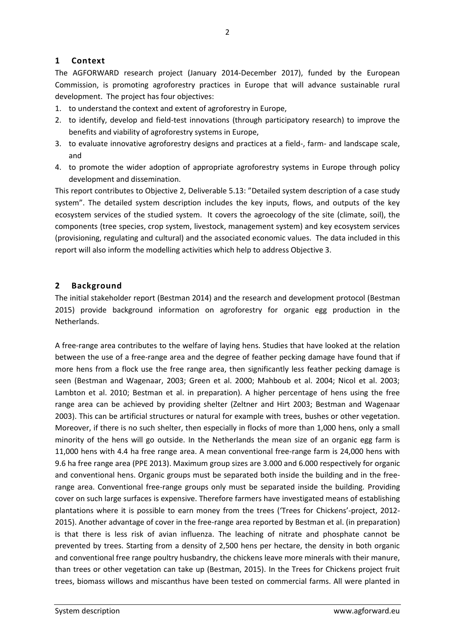## <span id="page-1-0"></span>**1 Context**

The AGFORWARD research project (January 2014-December 2017), funded by the European Commission, is promoting agroforestry practices in Europe that will advance sustainable rural development. The project has four objectives:

- 1. to understand the context and extent of agroforestry in Europe,
- 2. to identify, develop and field-test innovations (through participatory research) to improve the benefits and viability of agroforestry systems in Europe,
- 3. to evaluate innovative agroforestry designs and practices at a field-, farm- and landscape scale, and
- 4. to promote the wider adoption of appropriate agroforestry systems in Europe through policy development and dissemination.

This report contributes to Objective 2, Deliverable 5.13: "Detailed system description of a case study system". The detailed system description includes the key inputs, flows, and outputs of the key ecosystem services of the studied system. It covers the agroecology of the site (climate, soil), the components (tree species, crop system, livestock, management system) and key ecosystem services (provisioning, regulating and cultural) and the associated economic values. The data included in this report will also inform the modelling activities which help to address Objective 3.

## <span id="page-1-1"></span>**2 Background**

The initial stakeholder report (Bestman 2014) and the research and development protocol (Bestman 2015) provide background information on agroforestry for organic egg production in the Netherlands.

A free-range area contributes to the welfare of laying hens. Studies that have looked at the relation between the use of a free-range area and the degree of feather pecking damage have found that if more hens from a flock use the free range area, then significantly less feather pecking damage is seen (Bestman and Wagenaar, 2003; Green et al. 2000; Mahboub et al. 2004; Nicol et al. 2003; Lambton et al. 2010; Bestman et al. in preparation). A higher percentage of hens using the free range area can be achieved by providing shelter (Zeltner and Hirt 2003; Bestman and Wagenaar 2003). This can be artificial structures or natural for example with trees, bushes or other vegetation. Moreover, if there is no such shelter, then especially in flocks of more than 1,000 hens, only a small minority of the hens will go outside. In the Netherlands the mean size of an organic egg farm is 11,000 hens with 4.4 ha free range area. A mean conventional free-range farm is 24,000 hens with 9.6 ha free range area (PPE 2013). Maximum group sizes are 3.000 and 6.000 respectively for organic and conventional hens. Organic groups must be separated both inside the building and in the freerange area. Conventional free-range groups only must be separated inside the building. Providing cover on such large surfaces is expensive. Therefore farmers have investigated means of establishing plantations where it is possible to earn money from the trees ('Trees for Chickens'-project, 2012- 2015). Another advantage of cover in the free-range area reported by Bestman et al. (in preparation) is that there is less risk of avian influenza. The leaching of nitrate and phosphate cannot be prevented by trees. Starting from a density of 2,500 hens per hectare, the density in both organic and conventional free range poultry husbandry, the chickens leave more minerals with their manure, than trees or other vegetation can take up (Bestman, 2015). In the Trees for Chickens project fruit trees, biomass willows and miscanthus have been tested on commercial farms. All were planted in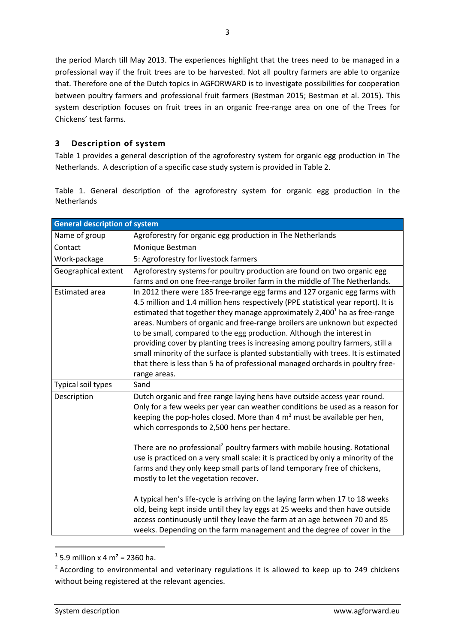the period March till May 2013. The experiences highlight that the trees need to be managed in a professional way if the fruit trees are to be harvested. Not all poultry farmers are able to organize that. Therefore one of the Dutch topics in AGFORWARD is to investigate possibilities for cooperation between poultry farmers and professional fruit farmers (Bestman 2015; Bestman et al. 2015). This system description focuses on fruit trees in an organic free-range area on one of the Trees for Chickens' test farms.

## <span id="page-2-0"></span>**3 Description of system**

[Table 1](#page-2-1) provides a general description of the agroforestry system for organic egg production in The Netherlands. A description of a specific case study system is provided in Table 2.

<span id="page-2-1"></span>Table 1. General description of the agroforestry system for organic egg production in the **Netherlands** 

| <b>General description of system</b> |                                                                                                                                                                                                                                                                                                                                                                                                                                                                                                                                                                                                                                                                                            |  |
|--------------------------------------|--------------------------------------------------------------------------------------------------------------------------------------------------------------------------------------------------------------------------------------------------------------------------------------------------------------------------------------------------------------------------------------------------------------------------------------------------------------------------------------------------------------------------------------------------------------------------------------------------------------------------------------------------------------------------------------------|--|
| Name of group                        | Agroforestry for organic egg production in The Netherlands                                                                                                                                                                                                                                                                                                                                                                                                                                                                                                                                                                                                                                 |  |
| Contact                              | Monique Bestman                                                                                                                                                                                                                                                                                                                                                                                                                                                                                                                                                                                                                                                                            |  |
| Work-package                         | 5: Agroforestry for livestock farmers                                                                                                                                                                                                                                                                                                                                                                                                                                                                                                                                                                                                                                                      |  |
| Geographical extent                  | Agroforestry systems for poultry production are found on two organic egg<br>farms and on one free-range broiler farm in the middle of The Netherlands.                                                                                                                                                                                                                                                                                                                                                                                                                                                                                                                                     |  |
| <b>Estimated area</b>                | In 2012 there were 185 free-range egg farms and 127 organic egg farms with<br>4.5 million and 1.4 million hens respectively (PPE statistical year report). It is<br>estimated that together they manage approximately 2,400 <sup>1</sup> ha as free-range<br>areas. Numbers of organic and free-range broilers are unknown but expected<br>to be small, compared to the egg production. Although the interest in<br>providing cover by planting trees is increasing among poultry farmers, still a<br>small minority of the surface is planted substantially with trees. It is estimated<br>that there is less than 5 ha of professional managed orchards in poultry free-<br>range areas. |  |
| Typical soil types                   | Sand                                                                                                                                                                                                                                                                                                                                                                                                                                                                                                                                                                                                                                                                                       |  |
| Description                          | Dutch organic and free range laying hens have outside access year round.<br>Only for a few weeks per year can weather conditions be used as a reason for<br>keeping the pop-holes closed. More than $4 \text{ m}^2$ must be available per hen,<br>which corresponds to 2,500 hens per hectare.                                                                                                                                                                                                                                                                                                                                                                                             |  |
|                                      | There are no professional <sup>2</sup> poultry farmers with mobile housing. Rotational<br>use is practiced on a very small scale: it is practiced by only a minority of the<br>farms and they only keep small parts of land temporary free of chickens,<br>mostly to let the vegetation recover.                                                                                                                                                                                                                                                                                                                                                                                           |  |
|                                      | A typical hen's life-cycle is arriving on the laying farm when 17 to 18 weeks<br>old, being kept inside until they lay eggs at 25 weeks and then have outside<br>access continuously until they leave the farm at an age between 70 and 85<br>weeks. Depending on the farm management and the degree of cover in the                                                                                                                                                                                                                                                                                                                                                                       |  |

 $1$  5.9 million x 4 m<sup>2</sup> = 2360 ha.

1

 $2$  According to environmental and veterinary regulations it is allowed to keep up to 249 chickens without being registered at the relevant agencies.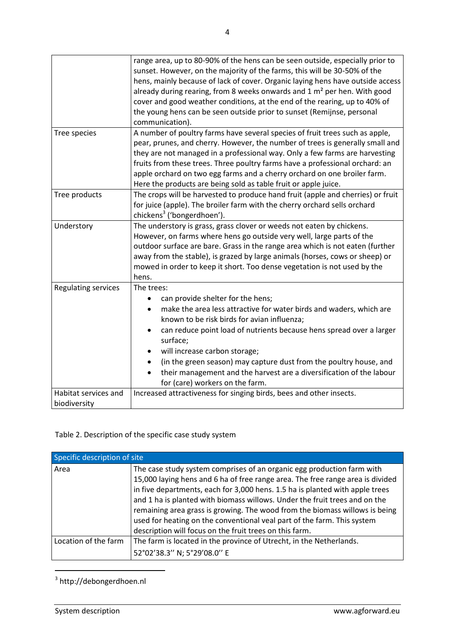|                      | range area, up to 80-90% of the hens can be seen outside, especially prior to        |
|----------------------|--------------------------------------------------------------------------------------|
|                      | sunset. However, on the majority of the farms, this will be 30-50% of the            |
|                      | hens, mainly because of lack of cover. Organic laying hens have outside access       |
|                      | already during rearing, from 8 weeks onwards and 1 m <sup>2</sup> per hen. With good |
|                      | cover and good weather conditions, at the end of the rearing, up to 40% of           |
|                      | the young hens can be seen outside prior to sunset (Remijnse, personal               |
|                      | communication).                                                                      |
| Tree species         | A number of poultry farms have several species of fruit trees such as apple,         |
|                      | pear, prunes, and cherry. However, the number of trees is generally small and        |
|                      | they are not managed in a professional way. Only a few farms are harvesting          |
|                      | fruits from these trees. Three poultry farms have a professional orchard: an         |
|                      | apple orchard on two egg farms and a cherry orchard on one broiler farm.             |
|                      | Here the products are being sold as table fruit or apple juice.                      |
| Tree products        | The crops will be harvested to produce hand fruit (apple and cherries) or fruit      |
|                      | for juice (apple). The broiler farm with the cherry orchard sells orchard            |
|                      | chickens <sup>3</sup> ('bongerdhoen').                                               |
| Understory           | The understory is grass, grass clover or weeds not eaten by chickens.                |
|                      | However, on farms where hens go outside very well, large parts of the                |
|                      | outdoor surface are bare. Grass in the range area which is not eaten (further        |
|                      | away from the stable), is grazed by large animals (horses, cows or sheep) or         |
|                      | mowed in order to keep it short. Too dense vegetation is not used by the             |
|                      | hens.                                                                                |
| Regulating services  | The trees:                                                                           |
|                      | can provide shelter for the hens;                                                    |
|                      | make the area less attractive for water birds and waders, which are                  |
|                      | known to be risk birds for avian influenza;                                          |
|                      | can reduce point load of nutrients because hens spread over a larger                 |
|                      | surface;                                                                             |
|                      | will increase carbon storage;                                                        |
|                      | (in the green season) may capture dust from the poultry house, and                   |
|                      | their management and the harvest are a diversification of the labour                 |
|                      | for (care) workers on the farm.                                                      |
| Habitat services and | Increased attractiveness for singing birds, bees and other insects.                  |
| biodiversity         |                                                                                      |

## Table 2. Description of the specific case study system

| Specific description of site |                                                                                                                                                                                                                                                                                                                                                                                                                                                                                                                                             |  |
|------------------------------|---------------------------------------------------------------------------------------------------------------------------------------------------------------------------------------------------------------------------------------------------------------------------------------------------------------------------------------------------------------------------------------------------------------------------------------------------------------------------------------------------------------------------------------------|--|
| Area                         | The case study system comprises of an organic egg production farm with<br>15,000 laying hens and 6 ha of free range area. The free range area is divided<br>in five departments, each for 3,000 hens. 1.5 ha is planted with apple trees<br>and 1 ha is planted with biomass willows. Under the fruit trees and on the<br>remaining area grass is growing. The wood from the biomass willows is being<br>used for heating on the conventional veal part of the farm. This system<br>description will focus on the fruit trees on this farm. |  |
| Location of the farm         | The farm is located in the province of Utrecht, in the Netherlands.<br>52°02'38.3" N; 5°29'08.0" E                                                                                                                                                                                                                                                                                                                                                                                                                                          |  |

<sup>3</sup> http://debongerdhoen.nl

**.**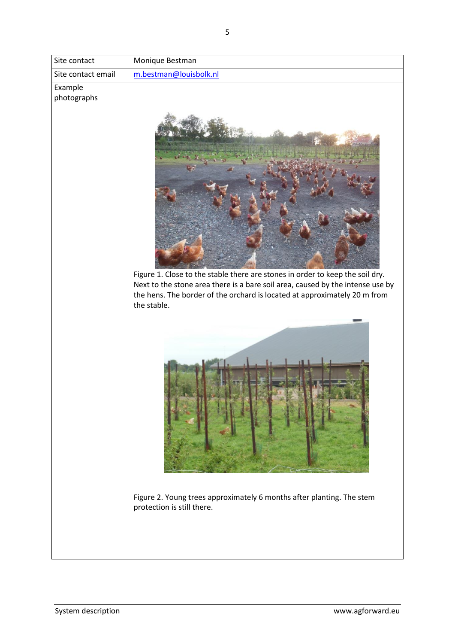| Site contact           | Monique Bestman                                                                                                                                                                                                                                             |
|------------------------|-------------------------------------------------------------------------------------------------------------------------------------------------------------------------------------------------------------------------------------------------------------|
| Site contact email     | m.bestman@louisbolk.nl                                                                                                                                                                                                                                      |
| Example<br>photographs | Figure 1. Close to the stable there are stones in order to keep the soil dry.<br>Next to the stone area there is a bare soil area, caused by the intense use by<br>the hens. The border of the orchard is located at approximately 20 m from<br>the stable. |
|                        | Figure 2. Young trees approximately 6 months after planting. The stem<br>protection is still there.                                                                                                                                                         |
|                        |                                                                                                                                                                                                                                                             |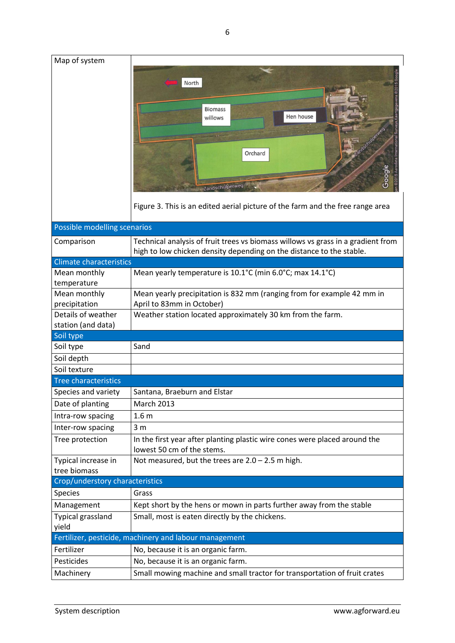| Map of system                   |                                                                                                                                                                           |
|---------------------------------|---------------------------------------------------------------------------------------------------------------------------------------------------------------------------|
|                                 | North<br><b>Biomass</b><br>Hen house<br>willows<br>Orchard<br>Google<br>Zandschulperweg<br>Figure 3. This is an edited aerial picture of the farm and the free range area |
| Possible modelling scenarios    |                                                                                                                                                                           |
| Comparison                      | Technical analysis of fruit trees vs biomass willows vs grass in a gradient from<br>high to low chicken density depending on the distance to the stable.                  |
| <b>Climate characteristics</b>  |                                                                                                                                                                           |
| Mean monthly<br>temperature     | Mean yearly temperature is 10.1°C (min 6.0°C; max 14.1°C)                                                                                                                 |
| Mean monthly                    | Mean yearly precipitation is 832 mm (ranging from for example 42 mm in                                                                                                    |
| precipitation                   | April to 83mm in October)                                                                                                                                                 |
| Details of weather              | Weather station located approximately 30 km from the farm.                                                                                                                |
|                                 |                                                                                                                                                                           |
| station (and data)              |                                                                                                                                                                           |
| Soil type                       |                                                                                                                                                                           |
| Soil type                       | Sand                                                                                                                                                                      |
| Soil depth                      |                                                                                                                                                                           |
| Soil texture                    |                                                                                                                                                                           |
| <b>Tree characteristics</b>     |                                                                                                                                                                           |
| Species and variety             | Santana, Braeburn and Elstar                                                                                                                                              |
| Date of planting                | <b>March 2013</b>                                                                                                                                                         |
| Intra-row spacing               | 1.6 <sub>m</sub>                                                                                                                                                          |
| Inter-row spacing               | 3 <sub>m</sub>                                                                                                                                                            |
| Tree protection                 | In the first year after planting plastic wire cones were placed around the<br>lowest 50 cm of the stems.                                                                  |
| Typical increase in             | Not measured, but the trees are $2.0 - 2.5$ m high.                                                                                                                       |
| tree biomass                    |                                                                                                                                                                           |
| Crop/understory characteristics |                                                                                                                                                                           |
| Species                         | Grass                                                                                                                                                                     |
| Management                      | Kept short by the hens or mown in parts further away from the stable                                                                                                      |
| Typical grassland<br>yield      | Small, most is eaten directly by the chickens.                                                                                                                            |
|                                 | Fertilizer, pesticide, machinery and labour management                                                                                                                    |
| Fertilizer                      | No, because it is an organic farm.                                                                                                                                        |
| Pesticides                      | No, because it is an organic farm.<br>Small mowing machine and small tractor for transportation of fruit crates                                                           |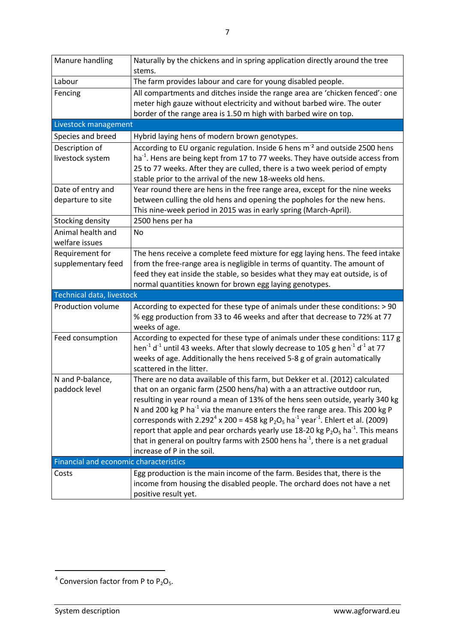| Manure handling                        | Naturally by the chickens and in spring application directly around the tree<br>stems.                                                                                                                                                                                                                                                                                                                                                                                                                                                                                                                                                                                                                             |
|----------------------------------------|--------------------------------------------------------------------------------------------------------------------------------------------------------------------------------------------------------------------------------------------------------------------------------------------------------------------------------------------------------------------------------------------------------------------------------------------------------------------------------------------------------------------------------------------------------------------------------------------------------------------------------------------------------------------------------------------------------------------|
| Labour                                 | The farm provides labour and care for young disabled people.                                                                                                                                                                                                                                                                                                                                                                                                                                                                                                                                                                                                                                                       |
| Fencing                                | All compartments and ditches inside the range area are 'chicken fenced': one<br>meter high gauze without electricity and without barbed wire. The outer<br>border of the range area is 1.50 m high with barbed wire on top.                                                                                                                                                                                                                                                                                                                                                                                                                                                                                        |
| Livestock management                   |                                                                                                                                                                                                                                                                                                                                                                                                                                                                                                                                                                                                                                                                                                                    |
| Species and breed                      | Hybrid laying hens of modern brown genotypes.                                                                                                                                                                                                                                                                                                                                                                                                                                                                                                                                                                                                                                                                      |
| Description of<br>livestock system     | According to EU organic regulation. Inside 6 hens m <sup>-2</sup> and outside 2500 hens<br>ha <sup>-1</sup> . Hens are being kept from 17 to 77 weeks. They have outside access from<br>25 to 77 weeks. After they are culled, there is a two week period of empty<br>stable prior to the arrival of the new 18-weeks old hens.                                                                                                                                                                                                                                                                                                                                                                                    |
| Date of entry and<br>departure to site | Year round there are hens in the free range area, except for the nine weeks<br>between culling the old hens and opening the popholes for the new hens.<br>This nine-week period in 2015 was in early spring (March-April).                                                                                                                                                                                                                                                                                                                                                                                                                                                                                         |
| Stocking density                       | 2500 hens per ha                                                                                                                                                                                                                                                                                                                                                                                                                                                                                                                                                                                                                                                                                                   |
| Animal health and<br>welfare issues    | <b>No</b>                                                                                                                                                                                                                                                                                                                                                                                                                                                                                                                                                                                                                                                                                                          |
| Requirement for<br>supplementary feed  | The hens receive a complete feed mixture for egg laying hens. The feed intake<br>from the free-range area is negligible in terms of quantity. The amount of<br>feed they eat inside the stable, so besides what they may eat outside, is of<br>normal quantities known for brown egg laying genotypes.                                                                                                                                                                                                                                                                                                                                                                                                             |
| Technical data, livestock              |                                                                                                                                                                                                                                                                                                                                                                                                                                                                                                                                                                                                                                                                                                                    |
| Production volume                      | According to expected for these type of animals under these conditions: > 90<br>% egg production from 33 to 46 weeks and after that decrease to 72% at 77<br>weeks of age.                                                                                                                                                                                                                                                                                                                                                                                                                                                                                                                                         |
| Feed consumption                       | According to expected for these type of animals under these conditions: 117 g<br>hen <sup>-1</sup> d <sup>-1</sup> until 43 weeks. After that slowly decrease to 105 g hen <sup>-1</sup> d <sup>-1</sup> at 77<br>weeks of age. Additionally the hens received 5-8 g of grain automatically<br>scattered in the litter.                                                                                                                                                                                                                                                                                                                                                                                            |
| N and P-balance,<br>paddock level      | There are no data available of this farm, but Dekker et al. (2012) calculated<br>that on an organic farm (2500 hens/ha) with a an attractive outdoor run,<br>resulting in year round a mean of 13% of the hens seen outside, yearly 340 kg<br>N and 200 kg P ha <sup>-1</sup> via the manure enters the free range area. This 200 kg P<br>corresponds with 2.292 <sup>4</sup> x 200 = 458 kg P <sub>2</sub> O <sub>5</sub> ha <sup>-1</sup> year <sup>-1</sup> . Ehlert et al. (2009)<br>report that apple and pear orchards yearly use 18-20 kg $P_2O_5$ ha <sup>-1</sup> . This means<br>that in general on poultry farms with 2500 hens ha <sup>-1</sup> , there is a net gradual<br>increase of P in the soil. |
| Financial and economic characteristics |                                                                                                                                                                                                                                                                                                                                                                                                                                                                                                                                                                                                                                                                                                                    |
| Costs                                  | Egg production is the main income of the farm. Besides that, there is the<br>income from housing the disabled people. The orchard does not have a net<br>positive result yet.                                                                                                                                                                                                                                                                                                                                                                                                                                                                                                                                      |

**.** 

 $4$  Conversion factor from P to  $P_2O_5$ .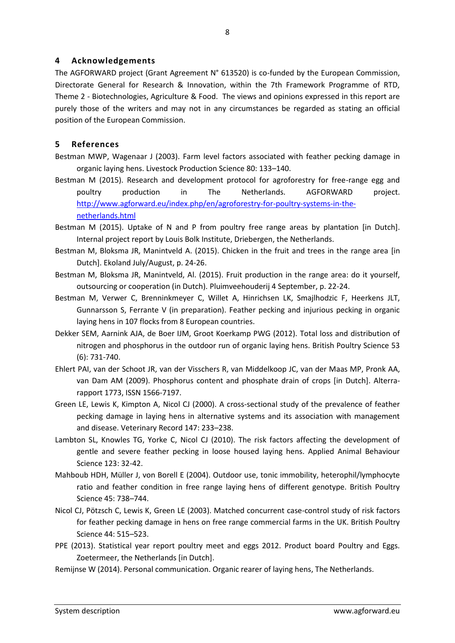#### <span id="page-7-0"></span>**4 Acknowledgements**

The AGFORWARD project (Grant Agreement N° 613520) is co-funded by the European Commission, Directorate General for Research & Innovation, within the 7th Framework Programme of RTD, Theme 2 - Biotechnologies, Agriculture & Food. The views and opinions expressed in this report are purely those of the writers and may not in any circumstances be regarded as stating an official position of the European Commission.

#### <span id="page-7-1"></span>**5 References**

- Bestman MWP, Wagenaar J (2003). Farm level factors associated with feather pecking damage in organic laying hens. Livestock Production Science 80: 133–140.
- Bestman M (2015). Research and development protocol for agroforestry for free-range egg and poultry production in The Netherlands. AGFORWARD project. [http://www.agforward.eu/index.php/en/agroforestry-for-poultry-systems-in-the](http://www.agforward.eu/index.php/en/agroforestry-for-poultry-systems-in-the-netherlands.html)[netherlands.html](http://www.agforward.eu/index.php/en/agroforestry-for-poultry-systems-in-the-netherlands.html)
- Bestman M (2015). Uptake of N and P from poultry free range areas by plantation [in Dutch]. Internal project report by Louis Bolk Institute, Driebergen, the Netherlands.
- Bestman M, Bloksma JR, Manintveld A. (2015). Chicken in the fruit and trees in the range area [in Dutch]. Ekoland July/August, p. 24-26.
- Bestman M, Bloksma JR, Manintveld, Al. (2015). Fruit production in the range area: do it yourself, outsourcing or cooperation (in Dutch). Pluimveehouderij 4 September, p. 22-24.
- Bestman M, Verwer C, Brenninkmeyer C, Willet A, Hinrichsen LK, Smajlhodzic F, Heerkens JLT, Gunnarsson S, Ferrante V (in preparation). Feather pecking and injurious pecking in organic laying hens in 107 flocks from 8 European countries.
- Dekker SEM, Aarnink AJA, de Boer IJM, Groot Koerkamp PWG (2012). Total loss and distribution of nitrogen and phosphorus in the outdoor run of organic laying hens. British Poultry Science 53 (6): 731-740.
- Ehlert PAI, van der Schoot JR, van der Visschers R, van Middelkoop JC, van der Maas MP, Pronk AA, van Dam AM (2009). Phosphorus content and phosphate drain of crops [in Dutch]. Alterrarapport 1773, ISSN 1566-7197.
- Green LE, Lewis K, Kimpton A, Nicol CJ (2000). A cross-sectional study of the prevalence of feather pecking damage in laying hens in alternative systems and its association with management and disease. Veterinary Record 147: 233–238.
- Lambton SL, Knowles TG, Yorke C, Nicol CJ (2010). The risk factors affecting the development of gentle and severe feather pecking in loose housed laying hens. Applied Animal Behaviour Science 123: 32-42.
- Mahboub HDH, Müller J, von Borell E (2004). Outdoor use, tonic immobility, heterophil/lymphocyte ratio and feather condition in free range laying hens of different genotype. British Poultry Science 45: 738–744.
- Nicol CJ, Pötzsch C, Lewis K, Green LE (2003). Matched concurrent case-control study of risk factors for feather pecking damage in hens on free range commercial farms in the UK. British Poultry Science 44: 515–523.
- PPE (2013). Statistical year report poultry meet and eggs 2012. Product board Poultry and Eggs. Zoetermeer, the Netherlands [in Dutch].
- Remijnse W (2014). Personal communication. Organic rearer of laying hens, The Netherlands.